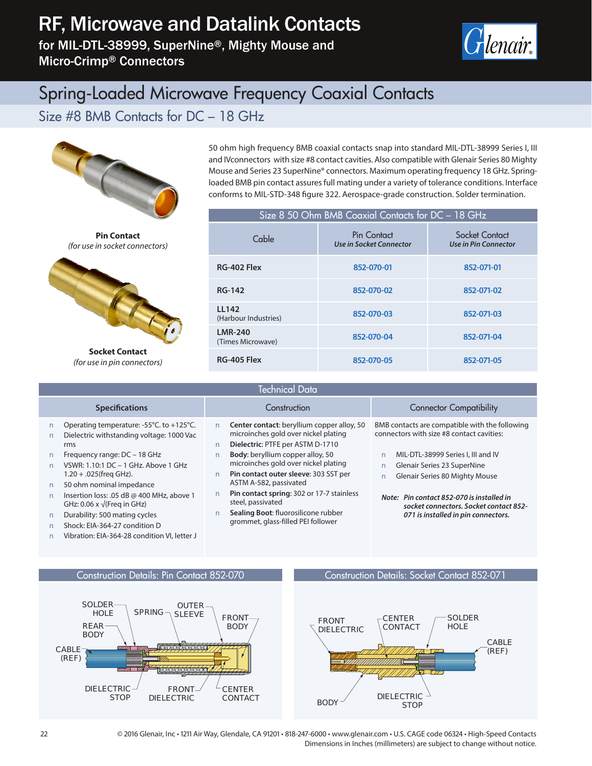# RF, Microwave and Datalink Contacts

for MIL-DTL-38999, SuperNine®, Mighty Mouse and Micro-Crimp® Connectors



## Spring-Loaded Microwave Frequency Coaxial Contacts

### Size #8 BMB Contacts for DC – 18 GHz



**Pin Contact** *(for use in socket connectors)*



**Socket Contact** *(for use in pin connectors)*

50 ohm high frequency BMB coaxial contacts snap into standard MIL-DTL-38999 Series I, III and IVconnectors with size #8 contact cavities. Also compatible with Glenair Series 80 Mighty Mouse and Series 23 SuperNine® connectors. Maximum operating frequency 18 GHz. Springloaded BMB pin contact assures full mating under a variety of tolerance conditions. Interface conforms to MIL-STD-348 figure 322. Aerospace-grade construction. Solder termination.

| Size 8 50 Ohm BMB Coaxial Contacts for DC - 18 GHz |                                               |                                        |  |
|----------------------------------------------------|-----------------------------------------------|----------------------------------------|--|
| Cable                                              | Pin Contact<br><b>Use in Socket Connector</b> | Socket Contact<br>Use in Pin Connector |  |
| RG-402 Flex                                        | 852-070-01                                    | 852-071-01                             |  |
| <b>RG-142</b>                                      | 852-070-02                                    | 852-071-02                             |  |
| LL142<br>(Harbour Industries)                      | 852-070-03                                    | 852-071-03                             |  |
| <b>LMR-240</b><br>(Times Microwave)                | 852-070-04                                    | 852-071-04                             |  |
| RG-405 Flex                                        | 852-070-05                                    | 852-071-05                             |  |

#### Technical Data **Specifications** Construction Connector Connector Compatibility Q Operating temperature: -55°C. to +125°C. Q Dielectric withstanding voltage: 1000 Vac rms Frequency range: DC – 18 GHz Q VSWR: 1.10:1 DC – 1 GHz. Above 1 GHz 1.20 + .025(freq GHz). 50 ohm nominal impedance Insertion loss: .05 dB @ 400 MHz, above 1 GHz: 0.06  $x \sqrt{F}$ req in GHz) Durability: 500 mating cycles Shock: EIA-364-27 condition D Vibration: EIA-364-28 condition VI, letter J **Q Center contact**: beryllium copper alloy, 50 microinches gold over nickel plating **Q Dielectric**: PTFE per ASTM D-1710 **Q Body**: beryllium copper alloy, 50 microinches gold over nickel plating **Q Pin contact outer sleeve**: 303 SST per ASTM A-582, passivated Pin contact spring: 302 or 17-7 stainless steel, passivated **Q Sealing Boot**: fluorosilicone rubber grommet, glass-filled PEI follower BMB contacts are compatible with the following connectors with size #8 contact cavities: Q MIL-DTL-38999 Series I, III and IV Q Glenair Series 23 SuperNine Glenair Series 80 Mighty Mouse *Note: Pin contact 852-070 is installed in socket connectors. Socket contact 852- 071 is installed in pin connectors.*



Construction Details: Socket Contact 852-071



22 © 2016 Glenair, Inc • 1211 Air Way, Glendale, CA 91201 • 818-247-6000 • www.glenair.com • U.S. CAGE code 06324 • High-Speed Contacts Dimensions in Inches (millimeters) are subject to change without notice.